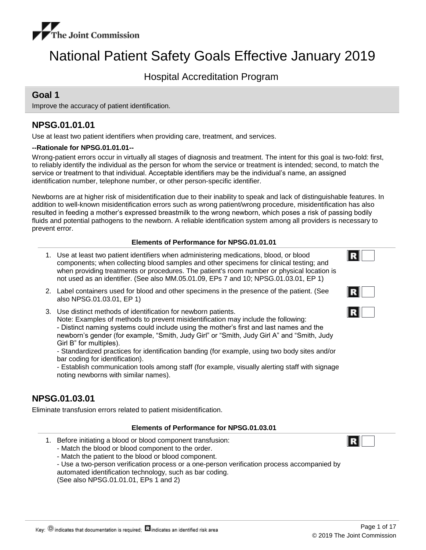

# National Patient Safety Goals Effective January 2019

Hospital Accreditation Program

## **Goal 1**

Improve the accuracy of patient identification.

## **NPSG.01.01.01**

Use at least two patient identifiers when providing care, treatment, and services.

#### **--Rationale for NPSG.01.01.01--**

Wrong-patient errors occur in virtually all stages of diagnosis and treatment. The intent for this goal is two-fold: first, to reliably identify the individual as the person for whom the service or treatment is intended; second, to match the service or treatment to that individual. Acceptable identifiers may be the individual's name, an assigned identification number, telephone number, or other person-specific identifier.

Newborns are at higher risk of misidentification due to their inability to speak and lack of distinguishable features. In addition to well-known misidentification errors such as wrong patient/wrong procedure, misidentification has also resulted in feeding a mother's expressed breastmilk to the wrong newborn, which poses a risk of passing bodily fluids and potential pathogens to the newborn. A reliable identification system among all providers is necessary to prevent error.

#### **Elements of Performance for NPSG.01.01.01**

- Use at least two patient identifiers when administering medications, blood, or blood 1. components; when collecting blood samples and other specimens for clinical testing; and when providing treatments or procedures. The patient's room number or physical location is not used as an identifier. (See also MM.05.01.09, EPs 7 and 10; NPSG.01.03.01, EP 1)
- 2. Label containers used for blood and other specimens in the presence of the patient. (See also NPSG.01.03.01, EP 1)
- Use distinct methods of identification for newborn patients. 3.

Note: Examples of methods to prevent misidentification may include the following: - Distinct naming systems could include using the mother's first and last names and the newborn's gender (for example, "Smith, Judy Girl" or "Smith, Judy Girl A" and "Smith, Judy Girl B" for multiples).

- Standardized practices for identification banding (for example, using two body sites and/or bar coding for identification).

- Establish communication tools among staff (for example, visually alerting staff with signage noting newborns with similar names).

## **NPSG.01.03.01**

Eliminate transfusion errors related to patient misidentification.

#### **Elements of Performance for NPSG.01.03.01**

- 1. Before initiating a blood or blood component transfusion:
	- Match the blood or blood component to the order.
	- Match the patient to the blood or blood component.
	- Use a two-person verification process or a one-person verification process accompanied by automated identification technology, such as bar coding.

(See also NPSG.01.01.01, EPs 1 and 2)

IR I

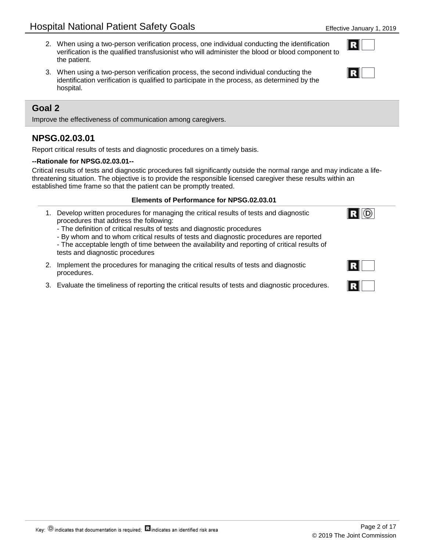- When using a two-person verification process, one individual conducting the identification 2. verification is the qualified transfusionist who will administer the blood or blood component to the patient.
- When using a two-person verification process, the second individual conducting the 3. identification verification is qualified to participate in the process, as determined by the hospital.

Improve the effectiveness of communication among caregivers.

## **NPSG.02.03.01**

Report critical results of tests and diagnostic procedures on a timely basis.

### **--Rationale for NPSG.02.03.01--**

Critical results of tests and diagnostic procedures fall significantly outside the normal range and may indicate a lifethreatening situation. The objective is to provide the responsible licensed caregiver these results within an established time frame so that the patient can be promptly treated.

### **Elements of Performance for NPSG.02.03.01**

- 1. Develop written procedures for managing the critical results of tests and diagnostic procedures that address the following:
	- The definition of critical results of tests and diagnostic procedures

- By whom and to whom critical results of tests and diagnostic procedures are reported

- The acceptable length of time between the availability and reporting of critical results of tests and diagnostic procedures
- 2. Implement the procedures for managing the critical results of tests and diagnostic procedures.
- 3. Evaluate the timeliness of reporting the critical results of tests and diagnostic procedures.





 $R$   $\odot$ 

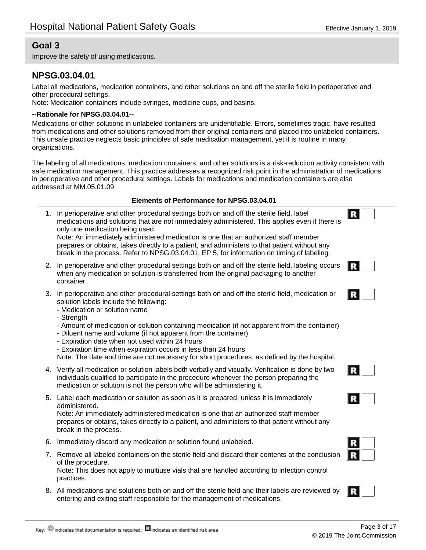Improve the safety of using medications.

## **NPSG.03.04.01**

Label all medications, medication containers, and other solutions on and off the sterile field in perioperative and other procedural settings.

Note: Medication containers include syringes, medicine cups, and basins.

### **--Rationale for NPSG.03.04.01--**

Medications or other solutions in unlabeled containers are unidentifiable. Errors, sometimes tragic, have resulted from medications and other solutions removed from their original containers and placed into unlabeled containers. This unsafe practice neglects basic principles of safe medication management, yet it is routine in many organizations.

The labeling of all medications, medication containers, and other solutions is a risk-reduction activity consistent with safe medication management. This practice addresses a recognized risk point in the administration of medications in perioperative and other procedural settings. Labels for medications and medication containers are also addressed at MM.05.01.09.

#### **Elements of Performance for NPSG.03.04.01**

In perioperative and other procedural settings both on and off the sterile field, label 1. medications and solutions that are not immediately administered. This applies even if there is only one medication being used. Note: An immediately administered medication is one that an authorized staff member

prepares or obtains, takes directly to a patient, and administers to that patient without any break in the process. Refer to NPSG.03.04.01, EP 5, for information on timing of labeling.

- 2. In perioperative and other procedural settings both on and off the sterile field, labeling occurs when any medication or solution is transferred from the original packaging to another container.
- In perioperative and other procedural settings both on and off the sterile field, medication or 3. solution labels include the following:
	- Medication or solution name
	- Strength
	- Amount of medication or solution containing medication (if not apparent from the container)
	- Diluent name and volume (if not apparent from the container)
	- Expiration date when not used within 24 hours
	- Expiration time when expiration occurs in less than 24 hours

Note: The date and time are not necessary for short procedures, as defined by the hospital.

- 4. Verify all medication or solution labels both verbally and visually. Verification is done by two individuals qualified to participate in the procedure whenever the person preparing the medication or solution is not the person who will be administering it.
- 5. Label each medication or solution as soon as it is prepared, unless it is immediately administered.

Note: An immediately administered medication is one that an authorized staff member prepares or obtains, takes directly to a patient, and administers to that patient without any break in the process.

- 6. Immediately discard any medication or solution found unlabeled.
- 7. Remove all labeled containers on the sterile field and discard their contents at the conclusion of the procedure. Note: This does not apply to multiuse vials that are handled according to infection control practices.
- 8. All medications and solutions both on and off the sterile field and their labels are reviewed by entering and exiting staff responsible for the management of medications.



Page 3 of 17

© 2019 The Joint Commission

|--|--|

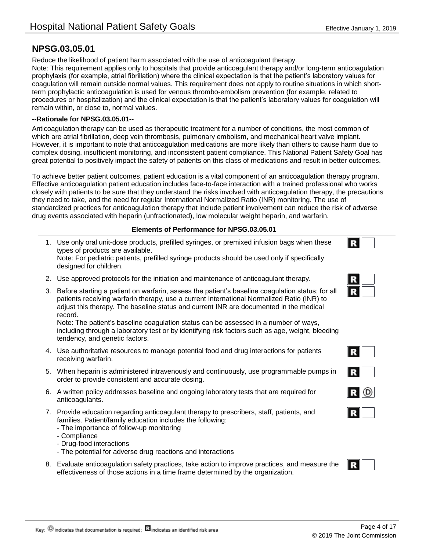## **NPSG.03.05.01**

Reduce the likelihood of patient harm associated with the use of anticoagulant therapy. Note: This requirement applies only to hospitals that provide anticoagulant therapy and/or long-term anticoagulation prophylaxis (for example, atrial fibrillation) where the clinical expectation is that the patient's laboratory values for coagulation will remain outside normal values. This requirement does not apply to routine situations in which shortterm prophylactic anticoagulation is used for venous thrombo-embolism prevention (for example, related to procedures or hospitalization) and the clinical expectation is that the patient's laboratory values for coagulation will remain within, or close to, normal values.

#### **--Rationale for NPSG.03.05.01--**

Anticoagulation therapy can be used as therapeutic treatment for a number of conditions, the most common of which are atrial fibrillation, deep vein thrombosis, pulmonary embolism, and mechanical heart valve implant. However, it is important to note that anticoagulation medications are more likely than others to cause harm due to complex dosing, insufficient monitoring, and inconsistent patient compliance. This National Patient Safety Goal has great potential to positively impact the safety of patients on this class of medications and result in better outcomes.

To achieve better patient outcomes, patient education is a vital component of an anticoagulation therapy program. Effective anticoagulation patient education includes face-to-face interaction with a trained professional who works closely with patients to be sure that they understand the risks involved with anticoagulation therapy, the precautions they need to take, and the need for regular International Normalized Ratio (INR) monitoring. The use of standardized practices for anticoagulation therapy that include patient involvement can reduce the risk of adverse drug events associated with heparin (unfractionated), low molecular weight heparin, and warfarin.

#### **Elements of Performance for NPSG.03.05.01**

1. Use only oral unit-dose products, prefilled syringes, or premixed infusion bags when these types of products are available.

Note: For pediatric patients, prefilled syringe products should be used only if specifically designed for children.

- 2. Use approved protocols for the initiation and maintenance of anticoagulant therapy.
- 3. Before starting a patient on warfarin, assess the patient's baseline coagulation status; for all patients receiving warfarin therapy, use a current International Normalized Ratio (INR) to adjust this therapy. The baseline status and current INR are documented in the medical record.

Note: The patient's baseline coagulation status can be assessed in a number of ways, including through a laboratory test or by identifying risk factors such as age, weight, bleeding tendency, and genetic factors.

- Use authoritative resources to manage potential food and drug interactions for patients 4. receiving warfarin.
- When heparin is administered intravenously and continuously, use programmable pumps in 5. order to provide consistent and accurate dosing.
- 6. A written policy addresses baseline and ongoing laboratory tests that are required for anticoagulants.
- 7. Provide education regarding anticoagulant therapy to prescribers, staff, patients, and families. Patient/family education includes the following:
	- The importance of follow-up monitoring
	- Compliance
	- Drug-food interactions
	- The potential for adverse drug reactions and interactions
- Evaluate anticoagulation safety practices, take action to improve practices, and measure the 8. effectiveness of those actions in a time frame determined by the organization.





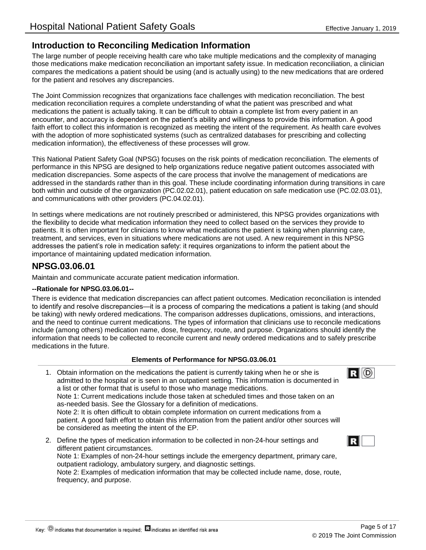## **Introduction to Reconciling Medication Information**

The large number of people receiving health care who take multiple medications and the complexity of managing those medications make medication reconciliation an important safety issue. In medication reconciliation, a clinician compares the medications a patient should be using (and is actually using) to the new medications that are ordered for the patient and resolves any discrepancies.

The Joint Commission recognizes that organizations face challenges with medication reconciliation. The best medication reconciliation requires a complete understanding of what the patient was prescribed and what medications the patient is actually taking. It can be difficult to obtain a complete list from every patient in an encounter, and accuracy is dependent on the patient's ability and willingness to provide this information. A good faith effort to collect this information is recognized as meeting the intent of the requirement. As health care evolves with the adoption of more sophisticated systems (such as centralized databases for prescribing and collecting medication information), the effectiveness of these processes will grow.

This National Patient Safety Goal (NPSG) focuses on the risk points of medication reconciliation. The elements of performance in this NPSG are designed to help organizations reduce negative patient outcomes associated with medication discrepancies. Some aspects of the care process that involve the management of medications are addressed in the standards rather than in this goal. These include coordinating information during transitions in care both within and outside of the organization (PC.02.02.01), patient education on safe medication use (PC.02.03.01), and communications with other providers (PC.04.02.01).

In settings where medications are not routinely prescribed or administered, this NPSG provides organizations with the flexibility to decide what medication information they need to collect based on the services they provide to patients. It is often important for clinicians to know what medications the patient is taking when planning care, treatment, and services, even in situations where medications are not used. A new requirement in this NPSG addresses the patient's role in medication safety: it requires organizations to inform the patient about the importance of maintaining updated medication information.

## **NPSG.03.06.01**

Maintain and communicate accurate patient medication information.

#### **--Rationale for NPSG.03.06.01--**

There is evidence that medication discrepancies can affect patient outcomes. Medication reconciliation is intended to identify and resolve discrepancies—it is a process of comparing the medications a patient is taking (and should be taking) with newly ordered medications. The comparison addresses duplications, omissions, and interactions, and the need to continue current medications. The types of information that clinicians use to reconcile medications include (among others) medication name, dose, frequency, route, and purpose. Organizations should identify the information that needs to be collected to reconcile current and newly ordered medications and to safely prescribe medications in the future.

#### **Elements of Performance for NPSG.03.06.01**

- Obtain information on the medications the patient is currently taking when he or she is 1. admitted to the hospital or is seen in an outpatient setting. This information is documented in a list or other format that is useful to those who manage medications. Note 1: Current medications include those taken at scheduled times and those taken on an as-needed basis. See the Glossary for a definition of medications. Note 2: It is often difficult to obtain complete information on current medications from a patient. A good faith effort to obtain this information from the patient and/or other sources will be considered as meeting the intent of the EP.
- 2. Define the types of medication information to be collected in non-24-hour settings and R different patient circumstances. Note 1: Examples of non-24-hour settings include the emergency department, primary care, outpatient radiology, ambulatory surgery, and diagnostic settings. Note 2: Examples of medication information that may be collected include name, dose, route, frequency, and purpose.

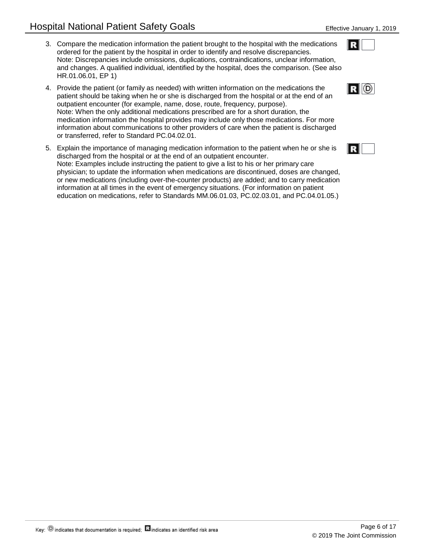- Compare the medication information the patient brought to the hospital with the medications 3. ordered for the patient by the hospital in order to identify and resolve discrepancies. Note: Discrepancies include omissions, duplications, contraindications, unclear information, and changes. A qualified individual, identified by the hospital, does the comparison. (See also HR.01.06.01, EP 1)
- 4. Provide the patient (or family as needed) with written information on the medications the patient should be taking when he or she is discharged from the hospital or at the end of an outpatient encounter (for example, name, dose, route, frequency, purpose). Note: When the only additional medications prescribed are for a short duration, the medication information the hospital provides may include only those medications. For more information about communications to other providers of care when the patient is discharged or transferred, refer to Standard PC.04.02.01.
- Explain the importance of managing medication information to the patient when he or she is 5. discharged from the hospital or at the end of an outpatient encounter. Note: Examples include instructing the patient to give a list to his or her primary care physician; to update the information when medications are discontinued, doses are changed, or new medications (including over-the-counter products) are added; and to carry medication information at all times in the event of emergency situations. (For information on patient education on medications, refer to Standards MM.06.01.03, PC.02.03.01, and PC.04.01.05.)



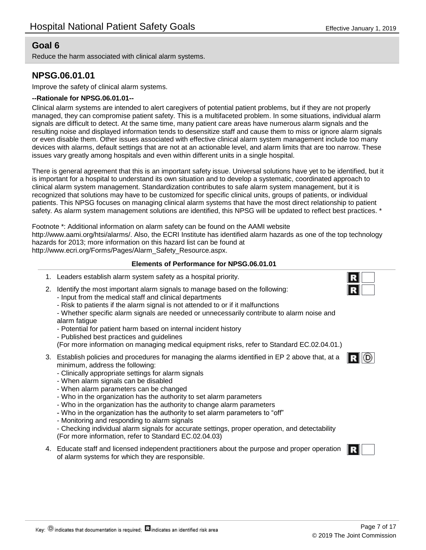Reduce the harm associated with clinical alarm systems.

## **NPSG.06.01.01**

Improve the safety of clinical alarm systems.

#### **--Rationale for NPSG.06.01.01--**

Clinical alarm systems are intended to alert caregivers of potential patient problems, but if they are not properly managed, they can compromise patient safety. This is a multifaceted problem. In some situations, individual alarm signals are difficult to detect. At the same time, many patient care areas have numerous alarm signals and the resulting noise and displayed information tends to desensitize staff and cause them to miss or ignore alarm signals or even disable them. Other issues associated with effective clinical alarm system management include too many devices with alarms, default settings that are not at an actionable level, and alarm limits that are too narrow. These issues vary greatly among hospitals and even within different units in a single hospital.

There is general agreement that this is an important safety issue. Universal solutions have yet to be identified, but it is important for a hospital to understand its own situation and to develop a systematic, coordinated approach to clinical alarm system management. Standardization contributes to safe alarm system management, but it is recognized that solutions may have to be customized for specific clinical units, groups of patients, or individual patients. This NPSG focuses on managing clinical alarm systems that have the most direct relationship to patient safety. As alarm system management solutions are identified, this NPSG will be updated to reflect best practices. \*

Footnote \*: Additional information on alarm safety can be found on the AAMI website http://www.aami.org/htsi/alarms/. Also, the ECRI Institute has identified alarm hazards as one of the top technology hazards for 2013; more information on this hazard list can be found at http://www.ecri.org/Forms/Pages/Alarm\_Safety\_Resource.aspx.

#### **Elements of Performance for NPSG.06.01.01**

- 1. Leaders establish alarm system safety as a hospital priority.
- 2. Identify the most important alarm signals to manage based on the following:
	- Input from the medical staff and clinical departments
	- Risk to patients if the alarm signal is not attended to or if it malfunctions
	- Whether specific alarm signals are needed or unnecessarily contribute to alarm noise and alarm fatigue
	- Potential for patient harm based on internal incident history
	- Published best practices and guidelines

(For more information on managing medical equipment risks, refer to Standard EC.02.04.01.)

- Establish policies and procedures for managing the alarms identified in EP 2 above that, at a 3. minimum, address the following:
	- Clinically appropriate settings for alarm signals
	- When alarm signals can be disabled
	- When alarm parameters can be changed
	- Who in the organization has the authority to set alarm parameters
	- Who in the organization has the authority to change alarm parameters
	- Who in the organization has the authority to set alarm parameters to "off"
	- Monitoring and responding to alarm signals

- Checking individual alarm signals for accurate settings, proper operation, and detectability (For more information, refer to Standard EC.02.04.03)

Educate staff and licensed independent practitioners about the purpose and proper operation 4. of alarm systems for which they are responsible.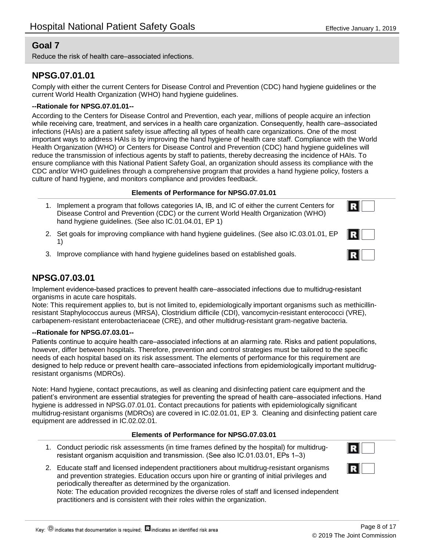Reduce the risk of health care–associated infections.

## **NPSG.07.01.01**

Comply with either the current Centers for Disease Control and Prevention (CDC) hand hygiene guidelines or the current World Health Organization (WHO) hand hygiene guidelines.

### **--Rationale for NPSG.07.01.01--**

According to the Centers for Disease Control and Prevention, each year, millions of people acquire an infection while receiving care, treatment, and services in a health care organization. Consequently, health care–associated infections (HAIs) are a patient safety issue affecting all types of health care organizations. One of the most important ways to address HAIs is by improving the hand hygiene of health care staff. Compliance with the World Health Organization (WHO) or Centers for Disease Control and Prevention (CDC) hand hygiene guidelines will reduce the transmission of infectious agents by staff to patients, thereby decreasing the incidence of HAIs. To ensure compliance with this National Patient Safety Goal, an organization should assess its compliance with the CDC and/or WHO guidelines through a comprehensive program that provides a hand hygiene policy, fosters a culture of hand hygiene, and monitors compliance and provides feedback.

#### **Elements of Performance for NPSG.07.01.01**

- 1. Implement a program that follows categories IA, IB, and IC of either the current Centers for Disease Control and Prevention (CDC) or the current World Health Organization (WHO) hand hygiene guidelines. (See also IC.01.04.01, EP 1)
- 2. Set goals for improving compliance with hand hygiene guidelines. (See also IC.03.01.01, EP 1)
- 3. Improve compliance with hand hygiene guidelines based on established goals.

R

## **NPSG.07.03.01**

Implement evidence-based practices to prevent health care–associated infections due to multidrug-resistant organisms in acute care hospitals.

Note: This requirement applies to, but is not limited to, epidemiologically important organisms such as methicillinresistant Staphylococcus aureus (MRSA), Clostridium difficile (CDI), vancomycin-resistant enterococci (VRE), carbapenem-resistant enterobacteriaceae (CRE), and other multidrug-resistant gram-negative bacteria.

#### **--Rationale for NPSG.07.03.01--**

Patients continue to acquire health care–associated infections at an alarming rate. Risks and patient populations, however, differ between hospitals. Therefore, prevention and control strategies must be tailored to the specific needs of each hospital based on its risk assessment. The elements of performance for this requirement are designed to help reduce or prevent health care–associated infections from epidemiologically important multidrugresistant organisms (MDROs).

Note: Hand hygiene, contact precautions, as well as cleaning and disinfecting patient care equipment and the patient's environment are essential strategies for preventing the spread of health care–associated infections. Hand hygiene is addressed in NPSG.07.01.01. Contact precautions for patients with epidemiologically significant multidrug-resistant organisms (MDROs) are covered in IC.02.01.01, EP 3. Cleaning and disinfecting patient care equipment are addressed in IC.02.02.01.

#### **Elements of Performance for NPSG.07.03.01**

Conduct periodic risk assessments (in time frames defined by the hospital) for multidrug-1. resistant organism acquisition and transmission. (See also IC.01.03.01, EPs 1–3)



Educate staff and licensed independent practitioners about multidrug-resistant organisms 2. and prevention strategies. Education occurs upon hire or granting of initial privileges and periodically thereafter as determined by the organization.

Note: The education provided recognizes the diverse roles of staff and licensed independent practitioners and is consistent with their roles within the organization.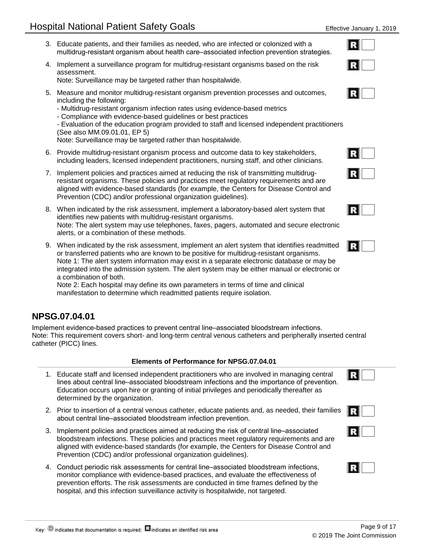- Educate patients, and their families as needed, who are infected or colonized with a 3. multidrug-resistant organism about health care–associated infection prevention strategies.
- 4. Implement a surveillance program for multidrug-resistant organisms based on the risk assessment.

Note: Surveillance may be targeted rather than hospitalwide.

- Measure and monitor multidrug-resistant organism prevention processes and outcomes, 5. including the following:
	- Multidrug-resistant organism infection rates using evidence-based metrics
	- Compliance with evidence-based guidelines or best practices

- Evaluation of the education program provided to staff and licensed independent practitioners (See also MM.09.01.01, EP 5)

Note: Surveillance may be targeted rather than hospitalwide.

- 6. Provide multidrug-resistant organism process and outcome data to key stakeholders, including leaders, licensed independent practitioners, nursing staff, and other clinicians.
- 7. Implement policies and practices aimed at reducing the risk of transmitting multidrugresistant organisms. These policies and practices meet regulatory requirements and are aligned with evidence-based standards (for example, the Centers for Disease Control and Prevention (CDC) and/or professional organization guidelines).
- When indicated by the risk assessment, implement a laboratory-based alert system that 8. identifies new patients with multidrug-resistant organisms. Note: The alert system may use telephones, faxes, pagers, automated and secure electronic alerts, or a combination of these methods.
- When indicated by the risk assessment, implement an alert system that identifies readmitted 9. or transferred patients who are known to be positive for multidrug-resistant organisms. Note 1: The alert system information may exist in a separate electronic database or may be integrated into the admission system. The alert system may be either manual or electronic or a combination of both.

Note 2: Each hospital may define its own parameters in terms of time and clinical manifestation to determine which readmitted patients require isolation.

## **NPSG.07.04.01**

Implement evidence-based practices to prevent central line–associated bloodstream infections. Note: This requirement covers short- and long-term central venous catheters and peripherally inserted central catheter (PICC) lines.

#### **Elements of Performance for NPSG.07.04.01**

- Educate staff and licensed independent practitioners who are involved in managing central 1. lines about central line–associated bloodstream infections and the importance of prevention. Education occurs upon hire or granting of initial privileges and periodically thereafter as determined by the organization.
- 2. Prior to insertion of a central venous catheter, educate patients and, as needed, their families about central line–associated bloodstream infection prevention.
- 3. Implement policies and practices aimed at reducing the risk of central line–associated bloodstream infections. These policies and practices meet regulatory requirements and are aligned with evidence-based standards (for example, the Centers for Disease Control and Prevention (CDC) and/or professional organization guidelines).
- Conduct periodic risk assessments for central line–associated bloodstream infections, 4. monitor compliance with evidence-based practices, and evaluate the effectiveness of prevention efforts. The risk assessments are conducted in time frames defined by the hospital, and this infection surveillance activity is hospitalwide, not targeted.





RI



© 2019 The Joint Commission

Page 9 of 17

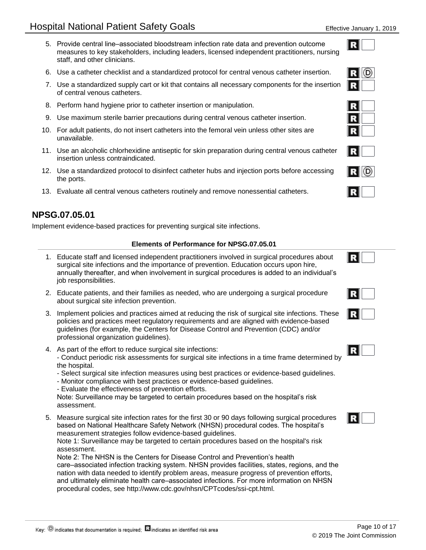- 5. Provide central line–associated bloodstream infection rate data and prevention outcome measures to key stakeholders, including leaders, licensed independent practitioners, nursing staff, and other clinicians.
- 6. Use a catheter checklist and a standardized protocol for central venous catheter insertion.
- 7. Use a standardized supply cart or kit that contains all necessary components for the insertion of central venous catheters.
- 8. Perform hand hygiene prior to catheter insertion or manipulation.
- 9. Use maximum sterile barrier precautions during central venous catheter insertion.
- For adult patients, do not insert catheters into the femoral vein unless other sites are 10. unavailable.
- 11. Use an alcoholic chlorhexidine antiseptic for skin preparation during central venous catheter insertion unless contraindicated.
- 12. Use a standardized protocol to disinfect catheter hubs and injection ports before accessing the ports.
- 13. Evaluate all central venous catheters routinely and remove nonessential catheters.

## **NPSG.07.05.01**

Implement evidence-based practices for preventing surgical site infections.

#### **Elements of Performance for NPSG.07.05.01**

- Educate staff and licensed independent practitioners involved in surgical procedures about 1. surgical site infections and the importance of prevention. Education occurs upon hire, annually thereafter, and when involvement in surgical procedures is added to an individual's job responsibilities.
- 2. Educate patients, and their families as needed, who are undergoing a surgical procedure about surgical site infection prevention.
- 3. Implement policies and practices aimed at reducing the risk of surgical site infections. These policies and practices meet regulatory requirements and are aligned with evidence-based guidelines (for example, the Centers for Disease Control and Prevention (CDC) and/or professional organization guidelines).
- 4. As part of the effort to reduce surgical site infections:

- Conduct periodic risk assessments for surgical site infections in a time frame determined by the hospital.

- Select surgical site infection measures using best practices or evidence-based guidelines.
- Monitor compliance with best practices or evidence-based guidelines.
- Evaluate the effectiveness of prevention efforts.

Note: Surveillance may be targeted to certain procedures based on the hospital's risk assessment.

Measure surgical site infection rates for the first 30 or 90 days following surgical procedures 5. based on National Healthcare Safety Network (NHSN) procedural codes. The hospital's measurement strategies follow evidence-based guidelines.

Note 1: Surveillance may be targeted to certain procedures based on the hospital's risk assessment.

Note 2: The NHSN is the Centers for Disease Control and Prevention's health care–associated infection tracking system. NHSN provides facilities, states, regions, and the nation with data needed to identify problem areas, measure progress of prevention efforts, and ultimately eliminate health care–associated infections. For more information on NHSN procedural codes, see http://www.cdc.gov/nhsn/CPTcodes/ssi-cpt.html.









RI (D)







R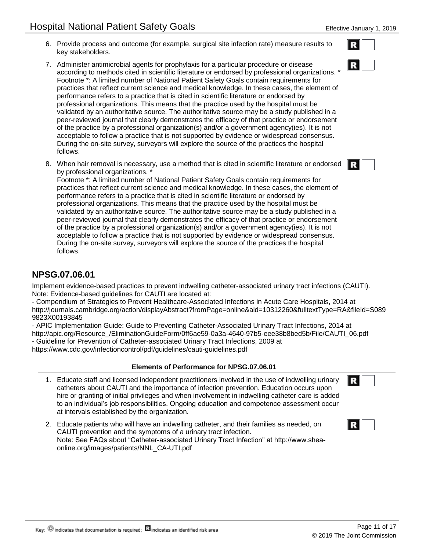- 6. Provide process and outcome (for example, surgical site infection rate) measure results to key stakeholders.
- 7. Administer antimicrobial agents for prophylaxis for a particular procedure or disease according to methods cited in scientific literature or endorsed by professional organizations. \* Footnote \*: A limited number of National Patient Safety Goals contain requirements for practices that reflect current science and medical knowledge. In these cases, the element of performance refers to a practice that is cited in scientific literature or endorsed by professional organizations. This means that the practice used by the hospital must be validated by an authoritative source. The authoritative source may be a study published in a peer-reviewed journal that clearly demonstrates the efficacy of that practice or endorsement of the practice by a professional organization(s) and/or a government agency(ies). It is not acceptable to follow a practice that is not supported by evidence or widespread consensus. During the on-site survey, surveyors will explore the source of the practices the hospital follows.
- When hair removal is necessary, use a method that is cited in scientific literature or endorsed 8. by professional organizations.

Footnote \*: A limited number of National Patient Safety Goals contain requirements for practices that reflect current science and medical knowledge. In these cases, the element of performance refers to a practice that is cited in scientific literature or endorsed by professional organizations. This means that the practice used by the hospital must be validated by an authoritative source. The authoritative source may be a study published in a peer-reviewed journal that clearly demonstrates the efficacy of that practice or endorsement of the practice by a professional organization(s) and/or a government agency(ies). It is not acceptable to follow a practice that is not supported by evidence or widespread consensus. During the on-site survey, surveyors will explore the source of the practices the hospital follows.

## **NPSG.07.06.01**

Implement evidence-based practices to prevent indwelling catheter-associated urinary tract infections (CAUTI). Note: Evidence-based guidelines for CAUTI are located at:

- Compendium of Strategies to Prevent Healthcare-Associated Infections in Acute Care Hospitals, 2014 at http://journals.cambridge.org/action/displayAbstract?fromPage=online&aid=10312260&fulltextType=RA&fileId=S089 9823X00193845

- APIC Implementation Guide: Guide to Preventing Catheter-Associated Urinary Tract Infections, 2014 at http://apic.org/Resource\_/EliminationGuideForm/0ff6ae59-0a3a-4640-97b5-eee38b8bed5b/File/CAUTI\_06.pdf - Guideline for Prevention of Catheter-associated Urinary Tract Infections, 2009 at https://www.cdc.gov/infectioncontrol/pdf/guidelines/cauti-guidelines.pdf

## **Elements of Performance for NPSG.07.06.01**

- Educate staff and licensed independent practitioners involved in the use of indwelling urinary 1. catheters about CAUTI and the importance of infection prevention. Education occurs upon hire or granting of initial privileges and when involvement in indwelling catheter care is added to an individual's job responsibilities. Ongoing education and competence assessment occur at intervals established by the organization.
- Educate patients who will have an indwelling catheter, and their families as needed, on 2. CAUTI prevention and the symptoms of a urinary tract infection. Note: See FAQs about "Catheter-associated Urinary Tract Infection" at http://www.sheaonline.org/images/patients/NNL\_CA-UTI.pdf



R

Ð

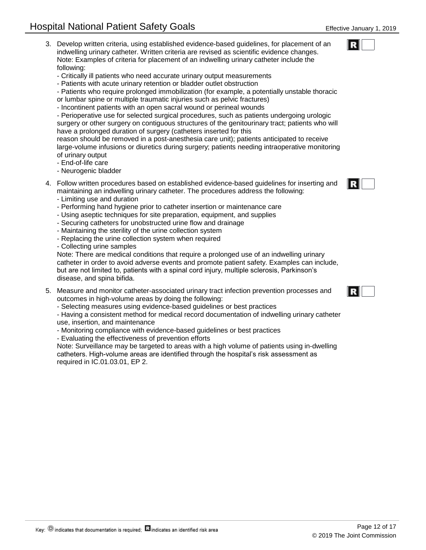- Develop written criteria, using established evidence-based guidelines, for placement of an 3. indwelling urinary catheter. Written criteria are revised as scientific evidence changes. Note: Examples of criteria for placement of an indwelling urinary catheter include the following:
	- Critically ill patients who need accurate urinary output measurements
	- Patients with acute urinary retention or bladder outlet obstruction
	- Patients who require prolonged immobilization (for example, a potentially unstable thoracic or lumbar spine or multiple traumatic injuries such as pelvic fractures)
	- Incontinent patients with an open sacral wound or perineal wounds
	- Perioperative use for selected surgical procedures, such as patients undergoing urologic surgery or other surgery on contiguous structures of the genitourinary tract; patients who will
	- have a prolonged duration of surgery (catheters inserted for this

reason should be removed in a post-anesthesia care unit); patients anticipated to receive large-volume infusions or diuretics during surgery; patients needing intraoperative monitoring of urinary output

- End-of-life care
- Neurogenic bladder
- Follow written procedures based on established evidence-based guidelines for inserting and 4. maintaining an indwelling urinary catheter. The procedures address the following:
	- Limiting use and duration
	- Performing hand hygiene prior to catheter insertion or maintenance care
	- Using aseptic techniques for site preparation, equipment, and supplies
	- Securing catheters for unobstructed urine flow and drainage
	- Maintaining the sterility of the urine collection system
	- Replacing the urine collection system when required
	- Collecting urine samples

Note: There are medical conditions that require a prolonged use of an indwelling urinary catheter in order to avoid adverse events and promote patient safety. Examples can include, but are not limited to, patients with a spinal cord injury, multiple sclerosis, Parkinson's disease, and spina bifida.

- Measure and monitor catheter-associated urinary tract infection prevention processes and 5. outcomes in high-volume areas by doing the following:
	- Selecting measures using evidence-based guidelines or best practices

- Having a consistent method for medical record documentation of indwelling urinary catheter

- use, insertion, and maintenance
- Monitoring compliance with evidence-based guidelines or best practices
- Evaluating the effectiveness of prevention efforts

Note: Surveillance may be targeted to areas with a high volume of patients using in-dwelling catheters. High-volume areas are identified through the hospital's risk assessment as required in IC.01.03.01, EP 2.

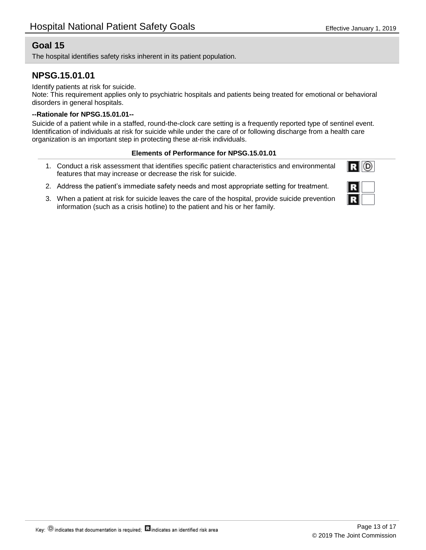The hospital identifies safety risks inherent in its patient population.

## **NPSG.15.01.01**

Identify patients at risk for suicide.

Note: This requirement applies only to psychiatric hospitals and patients being treated for emotional or behavioral disorders in general hospitals.

#### **--Rationale for NPSG.15.01.01--**

Suicide of a patient while in a staffed, round-the-clock care setting is a frequently reported type of sentinel event. Identification of individuals at risk for suicide while under the care of or following discharge from a health care organization is an important step in protecting these at-risk individuals.

#### **Elements of Performance for NPSG.15.01.01**

- Conduct a risk assessment that identifies specific patient characteristics and environmental 1. features that may increase or decrease the risk for suicide.
- 2. Address the patient's immediate safety needs and most appropriate setting for treatment.
- When a patient at risk for suicide leaves the care of the hospital, provide suicide prevention 3. information (such as a crisis hotline) to the patient and his or her family.

 $R$   $\odot$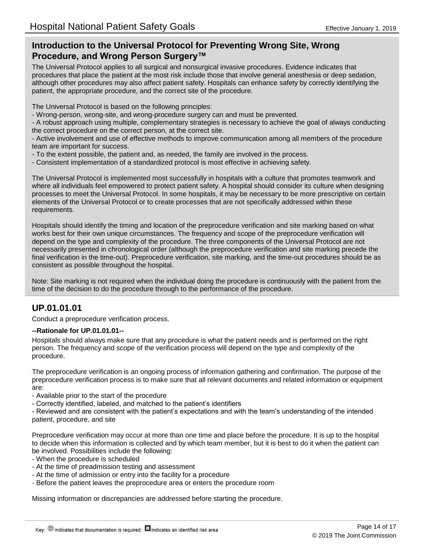## **Introduction to the Universal Protocol for Preventing Wrong Site, Wrong Procedure, and Wrong Person Surgery™**

The Universal Protocol applies to all surgical and nonsurgical invasive procedures. Evidence indicates that procedures that place the patient at the most risk include those that involve general anesthesia or deep sedation, although other procedures may also affect patient safety. Hospitals can enhance safety by correctly identifying the patient, the appropriate procedure, and the correct site of the procedure.

The Universal Protocol is based on the following principles:

- Wrong-person, wrong-site, and wrong-procedure surgery can and must be prevented.

- A robust approach using multiple, complementary strategies is necessary to achieve the goal of always conducting the correct procedure on the correct person, at the correct site.

- Active involvement and use of effective methods to improve communication among all members of the procedure team are important for success.

- To the extent possible, the patient and, as needed, the family are involved in the process.
- Consistent implementation of a standardized protocol is most effective in achieving safety.

The Universal Protocol is implemented most successfully in hospitals with a culture that promotes teamwork and where all individuals feel empowered to protect patient safety. A hospital should consider its culture when designing processes to meet the Universal Protocol. In some hospitals, it may be necessary to be more prescriptive on certain elements of the Universal Protocol or to create processes that are not specifically addressed within these requirements.

Hospitals should identify the timing and location of the preprocedure verification and site marking based on what works best for their own unique circumstances. The frequency and scope of the preprocedure verification will depend on the type and complexity of the procedure. The three components of the Universal Protocol are not necessarily presented in chronological order (although the preprocedure verification and site marking precede the final verification in the time-out). Preprocedure verification, site marking, and the time-out procedures should be as consistent as possible throughout the hospital.

Note: Site marking is not required when the individual doing the procedure is continuously with the patient from the time of the decision to do the procedure through to the performance of the procedure.

## **UP.01.01.01**

Conduct a preprocedure verification process.

#### **--Rationale for UP.01.01.01--**

Hospitals should always make sure that any procedure is what the patient needs and is performed on the right person. The frequency and scope of the verification process will depend on the type and complexity of the procedure.

The preprocedure verification is an ongoing process of information gathering and confirmation. The purpose of the preprocedure verification process is to make sure that all relevant documents and related information or equipment are:

- Available prior to the start of the procedure

- Correctly identified, labeled, and matched to the patient's identifiers

- Reviewed and are consistent with the patient's expectations and with the team's understanding of the intended patient, procedure, and site

Preprocedure verification may occur at more than one time and place before the procedure. It is up to the hospital to decide when this information is collected and by which team member, but it is best to do it when the patient can be involved. Possibilities include the following:

- When the procedure is scheduled
- At the time of preadmission testing and assessment
- At the time of admission or entry into the facility for a procedure
- Before the patient leaves the preprocedure area or enters the procedure room

Missing information or discrepancies are addressed before starting the procedure.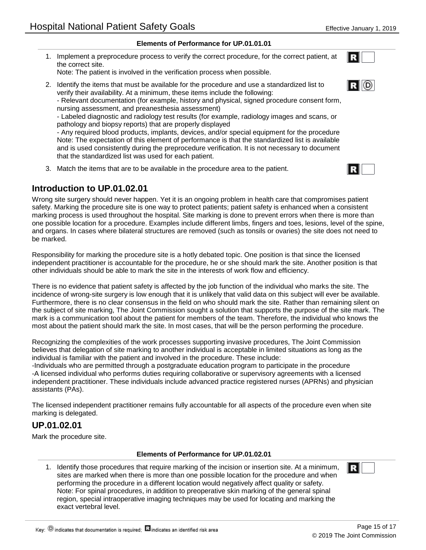#### **Elements of Performance for UP.01.01.01**

1. Implement a preprocedure process to verify the correct procedure, for the correct patient, at the correct site.

Note: The patient is involved in the verification process when possible.

2. Identify the items that must be available for the procedure and use a standardized list to verify their availability. At a minimum, these items include the following:

- Relevant documentation (for example, history and physical, signed procedure consent form, nursing assessment, and preanesthesia assessment)

- Labeled diagnostic and radiology test results (for example, radiology images and scans, or pathology and biopsy reports) that are properly displayed

- Any required blood products, implants, devices, and/or special equipment for the procedure Note: The expectation of this element of performance is that the standardized list is available and is used consistently during the preprocedure verification. It is not necessary to document that the standardized list was used for each patient.

3. Match the items that are to be available in the procedure area to the patient.

## **Introduction to UP.01.02.01**

Wrong site surgery should never happen. Yet it is an ongoing problem in health care that compromises patient safety. Marking the procedure site is one way to protect patients; patient safety is enhanced when a consistent marking process is used throughout the hospital. Site marking is done to prevent errors when there is more than one possible location for a procedure. Examples include different limbs, fingers and toes, lesions, level of the spine, and organs. In cases where bilateral structures are removed (such as tonsils or ovaries) the site does not need to be marked.

Responsibility for marking the procedure site is a hotly debated topic. One position is that since the licensed independent practitioner is accountable for the procedure, he or she should mark the site. Another position is that other individuals should be able to mark the site in the interests of work flow and efficiency.

There is no evidence that patient safety is affected by the job function of the individual who marks the site. The incidence of wrong-site surgery is low enough that it is unlikely that valid data on this subject will ever be available. Furthermore, there is no clear consensus in the field on who should mark the site. Rather than remaining silent on the subject of site marking, The Joint Commission sought a solution that supports the purpose of the site mark. The mark is a communication tool about the patient for members of the team. Therefore, the individual who knows the most about the patient should mark the site. In most cases, that will be the person performing the procedure.

Recognizing the complexities of the work processes supporting invasive procedures, The Joint Commission believes that delegation of site marking to another individual is acceptable in limited situations as long as the individual is familiar with the patient and involved in the procedure. These include:

-Individuals who are permitted through a postgraduate education program to participate in the procedure -A licensed individual who performs duties requiring collaborative or supervisory agreements with a licensed independent practitioner. These individuals include advanced practice registered nurses (APRNs) and physician assistants (PAs).

The licensed independent practitioner remains fully accountable for all aspects of the procedure even when site marking is delegated.

## **UP.01.02.01**

Mark the procedure site.

#### **Elements of Performance for UP.01.02.01**

1. Identify those procedures that require marking of the incision or insertion site. At a minimum, sites are marked when there is more than one possible location for the procedure and when performing the procedure in a different location would negatively affect quality or safety. Note: For spinal procedures, in addition to preoperative skin marking of the general spinal region, special intraoperative imaging techniques may be used for locating and marking the exact vertebral level.



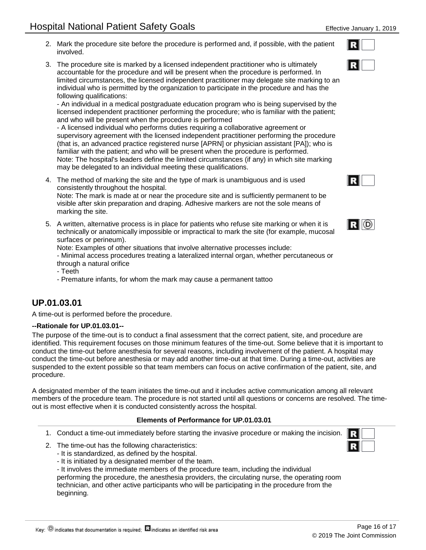- 2. Mark the procedure site before the procedure is performed and, if possible, with the patient involved.
- The procedure site is marked by a licensed independent practitioner who is ultimately 3. accountable for the procedure and will be present when the procedure is performed. In limited circumstances, the licensed independent practitioner may delegate site marking to an individual who is permitted by the organization to participate in the procedure and has the following qualifications:

- An individual in a medical postgraduate education program who is being supervised by the licensed independent practitioner performing the procedure; who is familiar with the patient; and who will be present when the procedure is performed

- A licensed individual who performs duties requiring a collaborative agreement or supervisory agreement with the licensed independent practitioner performing the procedure (that is, an advanced practice registered nurse [APRN] or physician assistant [PA]); who is familiar with the patient; and who will be present when the procedure is performed. Note: The hospital's leaders define the limited circumstances (if any) in which site marking may be delegated to an individual meeting these qualifications.

The method of marking the site and the type of mark is unambiguous and is used 4. consistently throughout the hospital.

Note: The mark is made at or near the procedure site and is sufficiently permanent to be visible after skin preparation and draping. Adhesive markers are not the sole means of marking the site.

5. A written, alternative process is in place for patients who refuse site marking or when it is technically or anatomically impossible or impractical to mark the site (for example, mucosal surfaces or perineum).

Note: Examples of other situations that involve alternative processes include:

- Minimal access procedures treating a lateralized internal organ, whether percutaneous or through a natural orifice

- Teeth

- Premature infants, for whom the mark may cause a permanent tattoo

## **UP.01.03.01**

A time-out is performed before the procedure.

#### **--Rationale for UP.01.03.01--**

The purpose of the time-out is to conduct a final assessment that the correct patient, site, and procedure are identified. This requirement focuses on those minimum features of the time-out. Some believe that it is important to conduct the time-out before anesthesia for several reasons, including involvement of the patient. A hospital may conduct the time-out before anesthesia or may add another time-out at that time. During a time-out, activities are suspended to the extent possible so that team members can focus on active confirmation of the patient, site, and procedure.

A designated member of the team initiates the time-out and it includes active communication among all relevant members of the procedure team. The procedure is not started until all questions or concerns are resolved. The timeout is most effective when it is conducted consistently across the hospital.

#### **Elements of Performance for UP.01.03.01**

- 1. Conduct a time-out immediately before starting the invasive procedure or making the incision.
- 2. The time-out has the following characteristics:
	- It is standardized, as defined by the hospital.
	- It is initiated by a designated member of the team.
	- It involves the immediate members of the procedure team, including the individual performing the procedure, the anesthesia providers, the circulating nurse, the operating room technician, and other active participants who will be participating in the procedure from the beginning.





|--|--|